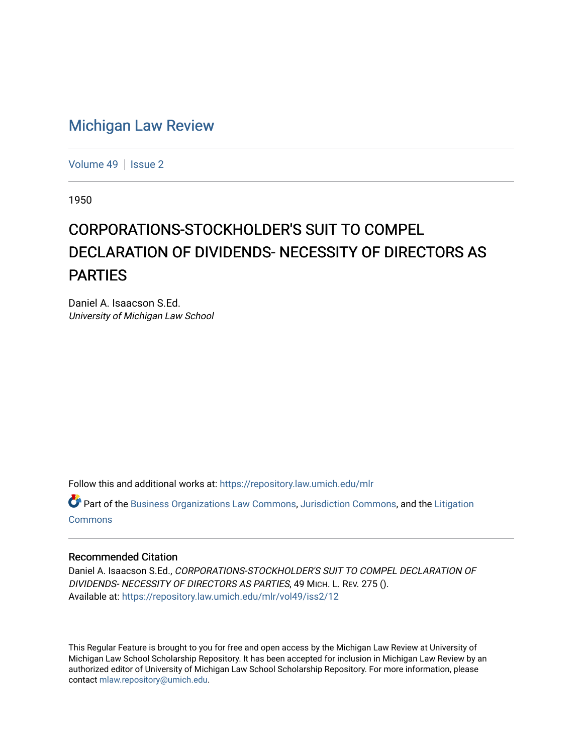## [Michigan Law Review](https://repository.law.umich.edu/mlr)

[Volume 49](https://repository.law.umich.edu/mlr/vol49) | [Issue 2](https://repository.law.umich.edu/mlr/vol49/iss2)

1950

## CORPORATIONS-STOCKHOLDER'S SUIT TO COMPEL DECLARATION OF DIVIDENDS- NECESSITY OF DIRECTORS AS PARTIES

Daniel A. Isaacson S.Ed. University of Michigan Law School

Follow this and additional works at: [https://repository.law.umich.edu/mlr](https://repository.law.umich.edu/mlr?utm_source=repository.law.umich.edu%2Fmlr%2Fvol49%2Fiss2%2F12&utm_medium=PDF&utm_campaign=PDFCoverPages) 

Part of the [Business Organizations Law Commons](http://network.bepress.com/hgg/discipline/900?utm_source=repository.law.umich.edu%2Fmlr%2Fvol49%2Fiss2%2F12&utm_medium=PDF&utm_campaign=PDFCoverPages), [Jurisdiction Commons](http://network.bepress.com/hgg/discipline/850?utm_source=repository.law.umich.edu%2Fmlr%2Fvol49%2Fiss2%2F12&utm_medium=PDF&utm_campaign=PDFCoverPages), and the [Litigation](http://network.bepress.com/hgg/discipline/910?utm_source=repository.law.umich.edu%2Fmlr%2Fvol49%2Fiss2%2F12&utm_medium=PDF&utm_campaign=PDFCoverPages)  [Commons](http://network.bepress.com/hgg/discipline/910?utm_source=repository.law.umich.edu%2Fmlr%2Fvol49%2Fiss2%2F12&utm_medium=PDF&utm_campaign=PDFCoverPages)

## Recommended Citation

Daniel A. Isaacson S.Ed., CORPORATIONS-STOCKHOLDER'S SUIT TO COMPEL DECLARATION OF DIVIDENDS- NECESSITY OF DIRECTORS AS PARTIES, 49 MICH. L. REV. 275 (). Available at: [https://repository.law.umich.edu/mlr/vol49/iss2/12](https://repository.law.umich.edu/mlr/vol49/iss2/12?utm_source=repository.law.umich.edu%2Fmlr%2Fvol49%2Fiss2%2F12&utm_medium=PDF&utm_campaign=PDFCoverPages) 

This Regular Feature is brought to you for free and open access by the Michigan Law Review at University of Michigan Law School Scholarship Repository. It has been accepted for inclusion in Michigan Law Review by an authorized editor of University of Michigan Law School Scholarship Repository. For more information, please contact [mlaw.repository@umich.edu](mailto:mlaw.repository@umich.edu).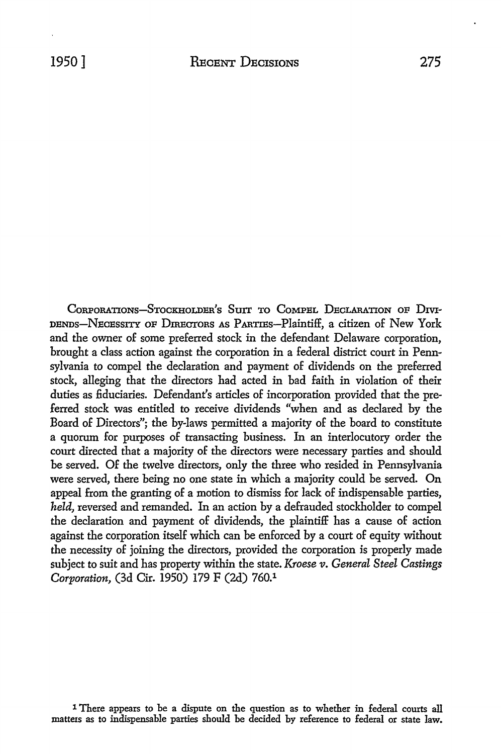CORPORATIONS-STOCKHOLDER'S SUIT TO COMPEL DECLARATION OF DIVI-DENDS-NECESSITY OF DIRECTORS AS PARTIES-Plaintiff, a citizen of New York and the owner of some preferred stock in the defendant Delaware corporation, brought a class action against the corporation in a federal district court in Pennsylvania to compel the declaration and payment of dividends on the preferred stock, alleging that the directors had acted in had faith in violation of their duties as fiduciaries. Defendant's articles of incorporation provided that the preferred stock was entitled to receive dividends "when and as declared by the Board of Directors"; the by-laws permitted a majority of the hoard to constitute a quorum for purposes of transacting business. In an interlocutory order the court directed that a majority of the directors were necessary parties and should he served. Of the twelve directors, only the three who resided in Pennsylvania were served, there being no one state in which a majority could he served. On appeal from the granting of a motion to dismiss for lack of indispensable parties, *held,* reversed and remanded. In an action by a defrauded stockholder to compel the declaration and payment of dividends, the plaintiff has a cause of action against the corporation itself which can he enforced by a court of equity without the necessity of joining the directors, provided the corporation is properly made subject to suit and has property within the state. *Kroese v. General Steel Castings Corporation,* (3d Cir. 1950) 179 F (2d) 760.1

1 There appears to be a dispute on the question as to whether in federal courts all mattezs as to indispensable parties should be decided by reference to federal or state law.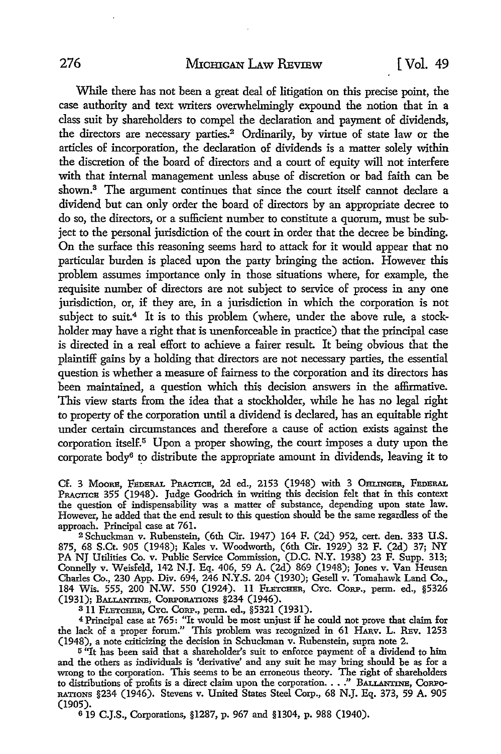While there has not been a great deal of litigation on this precise point, the case authority and text writers overwhelmingly expound the notion that in a class suit by shareholders to compel the declaration and payment of dividends, the directors are necessary parties.<sup>2</sup> Ordinarily, by virtue of state law or the articles of incorporation, the declaration of dividends is a matter solely within the discretion of the board of directors and a court of equity will not interfere with that internal management unless abuse of discretion or bad faith can be shown.<sup>3</sup> The argument continues that since the court itself cannot declare a dividend but can only order the board of directors by an appropriate decree to do so, the directors, or a sufficient number to constitute a quorum, must be subject to the personal jurisdiction of the court in order that the decree be binding. On the surface this reasoning seems hard to attack for it would appear that no particular burden is placed upon the party bringing the action. However this problem assumes importance only in those situations where, for example, the requisite number of directors are not subject to service of process in any one jurisdiction, or, if they are, in a jurisdiction in which the corporation is not subject to suit.<sup>4</sup> It is to this problem (where, under the above rule, a stockholder may have a right that is unenforceable in practice) that the principal case is directed in a real effort to achieve a fairer result. It being obvious that the plaintiff gains by a holding that directors are not necessary parties, the essential question is whether a measure of fairness to the corporation and its directors has been maintained, a question which this decision answers in the affirmative. This view starts from the idea that a stockholder, while he has no legal right to property of the corporation until a dividend is declared, has an equitable right under certain circumstances and therefore a cause of action exists against the corporation itself.<sup>5</sup> Upon a proper showing, the court imposes a duty upon the corporate  $body<sup>6</sup>$  to distribute the appropriate amount in dividends, leaving it to

Cf. 3 MOORE, FEDERAL PRACTICE, 2d ed., 2153 (1948) with 3 OHLINGER, FEDERAL PRACTICE 355 (1948). Judge Goodrich in writing this decision felt that in this context the question of indispensability was a matter of substance, depending upon state law. However, he added that the end result to this question should be the same regardless of the approach. Principal case at 761.

<sup>2</sup>Schuckman v. Rubenstein, (6th Cir. 1947) 164 F. (2d) 952, cert. den. 333 U.S. 875, 68 S.Ct. 905 (1948); Kales v. Woodworth, (6th Cir. 1929) 32 F. (2d) 37; NY PA NJ Utilities Co. v. Public Service Commission, (D.C. N.Y. 1938) 23 F. Supp. 313; Connelly v. Weisfeld, 142 N.J. Eq. 406, 59 A. (2d) 869 (1948); Jones v. Van Heusen Charles Co., 230 App. Div. 694, 246 N.Y.S. 204 (1930); Gesell v. Tomahawk Land Co., 184 Wis. 555, 200 N.W. 550 (1924). 11 FLETCHER, CYc. CoRP., perm. ed., §5326 (1931); BALLANTINE, CORPORATIONS §234 (1946).

<sup>8</sup>11 FLETCHER, CYc. CoRP., perm. ed., §5321 (1931).

<sup>4</sup>Principal case at 765: "It would be most unjust if he could not prove that claim for the lack of a proper forum." This problem was recognized in 61 HAnv. L. REv. 1253 (1948), a note criticizing the decision in Schuckman v. Rubenstein, supra note 2.

<sup>5</sup>"It has been said that a shareholder's suit to enforce payment of a dividend to him and the others as individuals is 'derivative' and any suit he may bring should be as for a wrong to the corporation. This seems to be an erroneous theory. The right of shareholders to distributions of profits is a direct claim upon the corporation. . • ." BALLANTINE, CoRPo-RATI0NS §234 (1946). Stevens v. United States Steel Corp., 68 N.J. Eq. 373, 59 A. 905 (1905).

6 19 C.J.S., Corporations, §1287, p. 967 and §1304, p. 988 (1940).